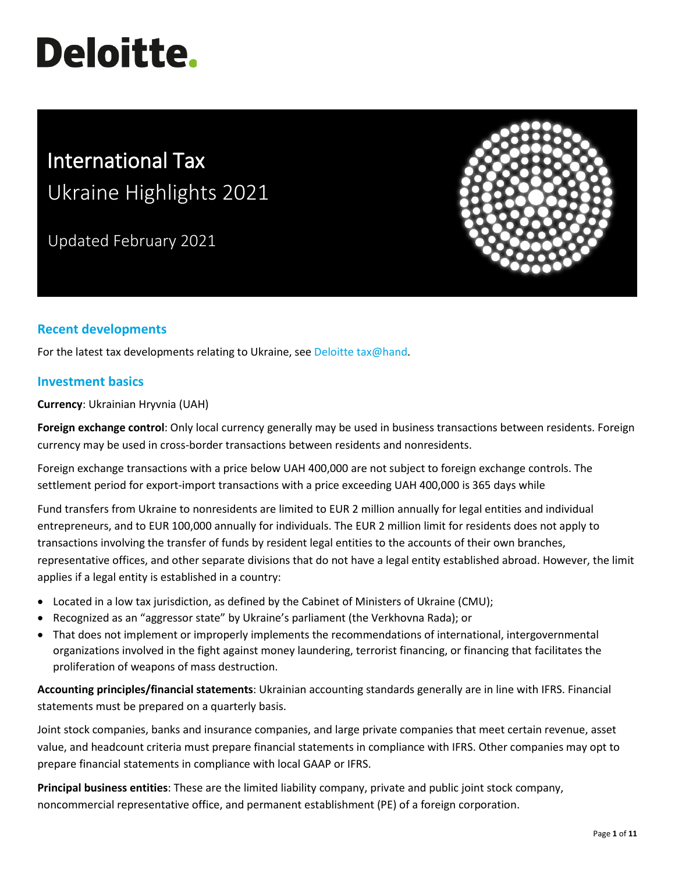# **Deloitte.**

# International Tax Ukraine Highlights 2021

Updated February 2021



# **Recent developments**

For the latest tax developments relating to Ukraine, see [Deloitte tax@hand.](https://www.taxathand.com/world-news/Ukraine)

# **Investment basics**

**Currency**: Ukrainian Hryvnia (UAH)

**Foreign exchange control**: Only local currency generally may be used in business transactions between residents. Foreign currency may be used in cross-border transactions between residents and nonresidents.

Foreign exchange transactions with a price below UAH 400,000 are not subject to foreign exchange controls. The settlement period for export-import transactions with a price exceeding UAH 400,000 is 365 days while

Fund transfers from Ukraine to nonresidents are limited to EUR 2 million annually for legal entities and individual entrepreneurs, and to EUR 100,000 annually for individuals. The EUR 2 million limit for residents does not apply to transactions involving the transfer of funds by resident legal entities to the accounts of their own branches, representative offices, and other separate divisions that do not have a legal entity established abroad. However, the limit applies if a legal entity is established in a country:

- Located in a low tax jurisdiction, as defined by the Cabinet of Ministers of Ukraine (CMU);
- Recognized as an "aggressor state" by Ukraine's parliament (the Verkhovna Rada); or
- That does not implement or improperly implements the recommendations of international, intergovernmental organizations involved in the fight against money laundering, terrorist financing, or financing that facilitates the proliferation of weapons of mass destruction.

**Accounting principles/financial statements**: Ukrainian accounting standards generally are in line with IFRS. Financial statements must be prepared on a quarterly basis.

Joint stock companies, banks and insurance companies, and large private companies that meet certain revenue, asset value, and headcount criteria must prepare financial statements in compliance with IFRS. Other companies may opt to prepare financial statements in compliance with local GAAP or IFRS.

**Principal business entities**: These are the limited liability company, private and public joint stock company, noncommercial representative office, and permanent establishment (PE) of a foreign corporation.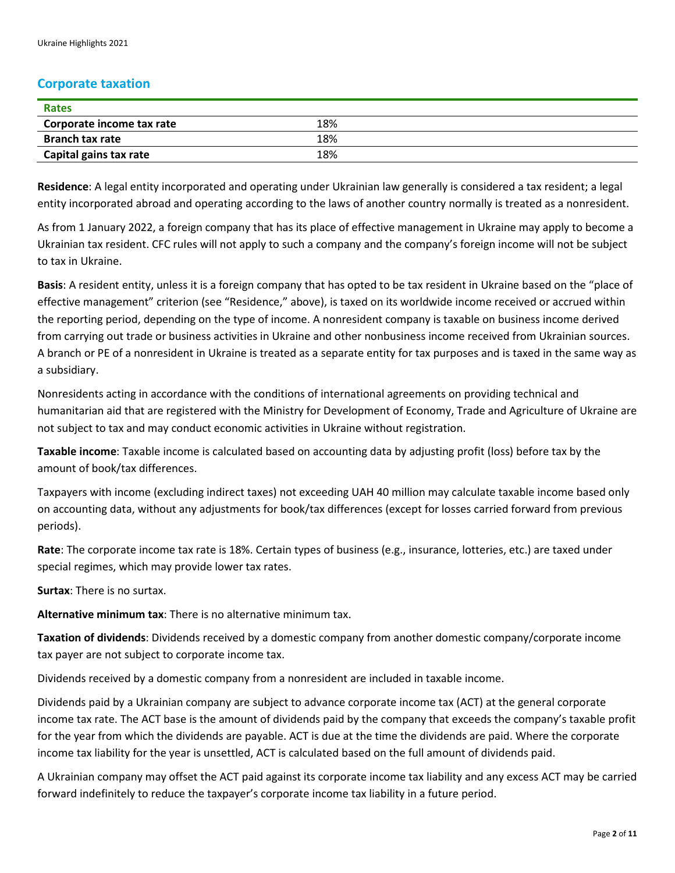## **Corporate taxation**

| Rates                     |     |  |
|---------------------------|-----|--|
| Corporate income tax rate | 18% |  |
| <b>Branch tax rate</b>    | 18% |  |
| Capital gains tax rate    | 18% |  |

**Residence**: A legal entity incorporated and operating under Ukrainian law generally is considered a tax resident; a legal entity incorporated abroad and operating according to the laws of another country normally is treated as a nonresident.

As from 1 January 2022, a foreign company that has its place of effective management in Ukraine may apply to become a Ukrainian tax resident. CFC rules will not apply to such a company and the company's foreign income will not be subject to tax in Ukraine.

**Basis**: A resident entity, unless it is a foreign company that has opted to be tax resident in Ukraine based on the "place of effective management" criterion (see "Residence," above), is taxed on its worldwide income received or accrued within the reporting period, depending on the type of income. A nonresident company is taxable on business income derived from carrying out trade or business activities in Ukraine and other nonbusiness income received from Ukrainian sources. A branch or PE of a nonresident in Ukraine is treated as a separate entity for tax purposes and is taxed in the same way as a subsidiary.

Nonresidents acting in accordance with the conditions of international agreements on providing technical and humanitarian aid that are registered with the Ministry for Development of Economy, Trade and Agriculture of Ukraine are not subject to tax and may conduct economic activities in Ukraine without registration.

**Taxable income**: Taxable income is calculated based on accounting data by adjusting profit (loss) before tax by the amount of book/tax differences.

Taxpayers with income (excluding indirect taxes) not exceeding UAH 40 million may calculate taxable income based only on accounting data, without any adjustments for book/tax differences (except for losses carried forward from previous periods).

**Rate**: The corporate income tax rate is 18%. Certain types of business (e.g., insurance, lotteries, etc.) are taxed under special regimes, which may provide lower tax rates.

**Surtax**: There is no surtax.

**Alternative minimum tax**: There is no alternative minimum tax.

**Taxation of dividends**: Dividends received by a domestic company from another domestic company/corporate income tax payer are not subject to corporate income tax.

Dividends received by a domestic company from a nonresident are included in taxable income.

Dividends paid by a Ukrainian company are subject to advance corporate income tax (ACT) at the general corporate income tax rate. The ACT base is the amount of dividends paid by the company that exceeds the company's taxable profit for the year from which the dividends are payable. ACT is due at the time the dividends are paid. Where the corporate income tax liability for the year is unsettled, ACT is calculated based on the full amount of dividends paid.

A Ukrainian company may offset the ACT paid against its corporate income tax liability and any excess ACT may be carried forward indefinitely to reduce the taxpayer's corporate income tax liability in a future period.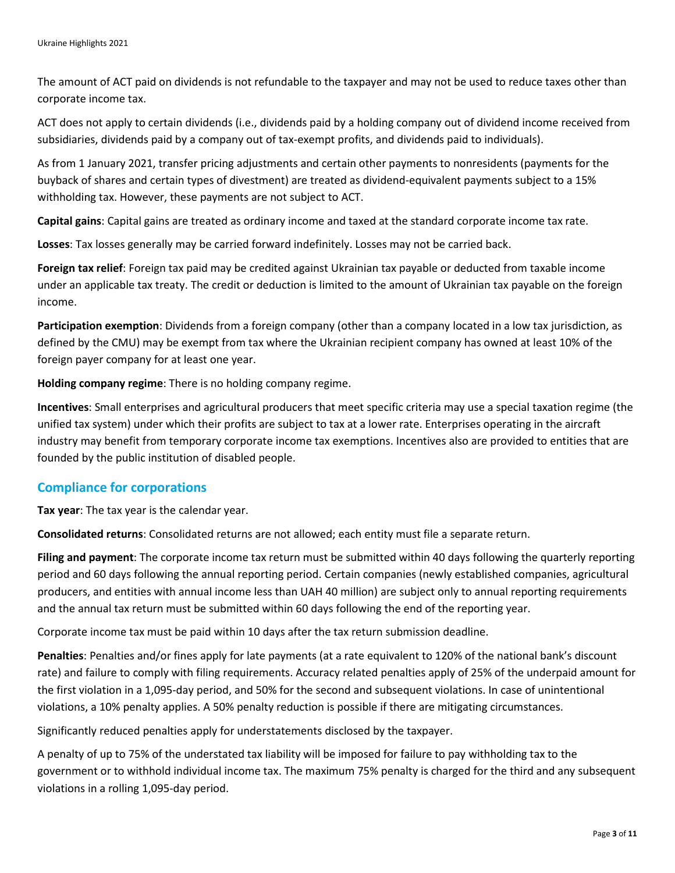The amount of ACT paid on dividends is not refundable to the taxpayer and may not be used to reduce taxes other than corporate income tax.

ACT does not apply to certain dividends (i.e., dividends paid by a holding company out of dividend income received from subsidiaries, dividends paid by a company out of tax-exempt profits, and dividends paid to individuals).

As from 1 January 2021, transfer pricing adjustments and certain other payments to nonresidents (payments for the buyback of shares and certain types of divestment) are treated as dividend-equivalent payments subject to a 15% withholding tax. However, these payments are not subject to ACT.

**Capital gains**: Capital gains are treated as ordinary income and taxed at the standard corporate income tax rate.

**Losses**: Tax losses generally may be carried forward indefinitely. Losses may not be carried back.

**Foreign tax relief**: Foreign tax paid may be credited against Ukrainian tax payable or deducted from taxable income under an applicable tax treaty. The credit or deduction is limited to the amount of Ukrainian tax payable on the foreign income.

**Participation exemption**: Dividends from a foreign company (other than a company located in a low tax jurisdiction, as defined by the CMU) may be exempt from tax where the Ukrainian recipient company has owned at least 10% of the foreign payer company for at least one year.

**Holding company regime**: There is no holding company regime.

**Incentives**: Small enterprises and agricultural producers that meet specific criteria may use a special taxation regime (the unified tax system) under which their profits are subject to tax at a lower rate. Enterprises operating in the aircraft industry may benefit from temporary corporate income tax exemptions. Incentives also are provided to entities that are founded by the public institution of disabled people.

#### **Compliance for corporations**

**Tax year**: The tax year is the calendar year.

**Consolidated returns**: Consolidated returns are not allowed; each entity must file a separate return.

**Filing and payment**: The corporate income tax return must be submitted within 40 days following the quarterly reporting period and 60 days following the annual reporting period. Certain companies (newly established companies, agricultural producers, and entities with annual income less than UAH 40 million) are subject only to annual reporting requirements and the annual tax return must be submitted within 60 days following the end of the reporting year.

Corporate income tax must be paid within 10 days after the tax return submission deadline.

**Penalties**: Penalties and/or fines apply for late payments (at a rate equivalent to 120% of the national bank's discount rate) and failure to comply with filing requirements. Accuracy related penalties apply of 25% of the underpaid amount for the first violation in a 1,095-day period, and 50% for the second and subsequent violations. In case of unintentional violations, a 10% penalty applies. A 50% penalty reduction is possible if there are mitigating circumstances.

Significantly reduced penalties apply for understatements disclosed by the taxpayer.

A penalty of up to 75% of the understated tax liability will be imposed for failure to pay withholding tax to the government or to withhold individual income tax. The maximum 75% penalty is charged for the third and any subsequent violations in a rolling 1,095-day period.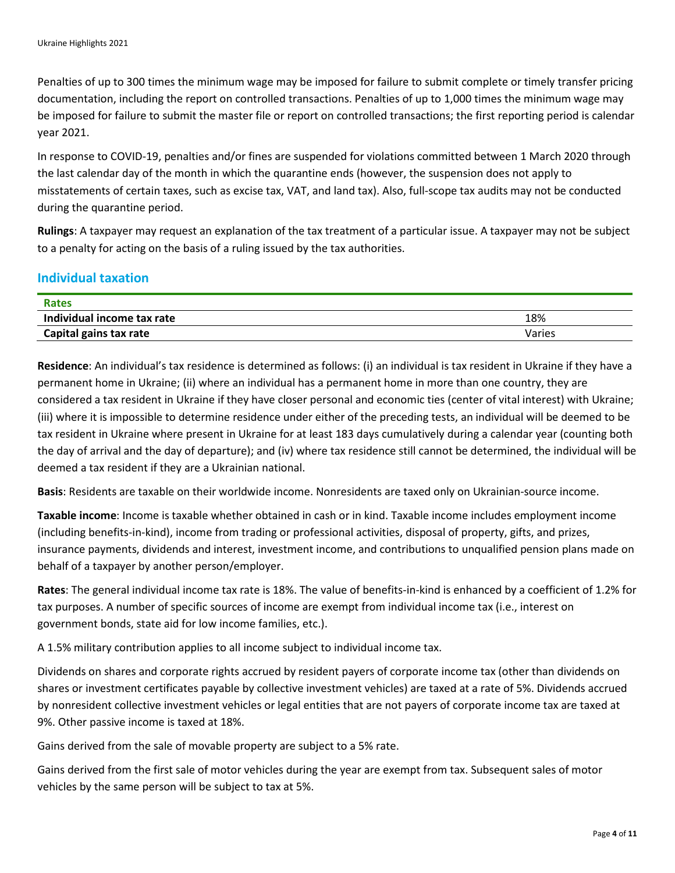Penalties of up to 300 times the minimum wage may be imposed for failure to submit complete or timely transfer pricing documentation, including the report on controlled transactions. Penalties of up to 1,000 times the minimum wage may be imposed for failure to submit the master file or report on controlled transactions; the first reporting period is calendar year 2021.

In response to COVID-19, penalties and/or fines are suspended for violations committed between 1 March 2020 through the last calendar day of the month in which the quarantine ends (however, the suspension does not apply to misstatements of certain taxes, such as excise tax, VAT, and land tax). Also, full-scope tax audits may not be conducted during the quarantine period.

**Rulings**: A taxpayer may request an explanation of the tax treatment of a particular issue. A taxpayer may not be subject to a penalty for acting on the basis of a ruling issued by the tax authorities.

# **Individual taxation**

| Rates                      |        |
|----------------------------|--------|
| Individual income tax rate | 18%    |
| Capital gains tax rate     | Varies |

**Residence**: An individual's tax residence is determined as follows: (i) an individual is tax resident in Ukraine if they have a permanent home in Ukraine; (ii) where an individual has a permanent home in more than one country, they are considered a tax resident in Ukraine if they have closer personal and economic ties (center of vital interest) with Ukraine; (iii) where it is impossible to determine residence under either of the preceding tests, an individual will be deemed to be tax resident in Ukraine where present in Ukraine for at least 183 days cumulatively during a calendar year (counting both the day of arrival and the day of departure); and (iv) where tax residence still cannot be determined, the individual will be deemed a tax resident if they are a Ukrainian national.

**Basis**: Residents are taxable on their worldwide income. Nonresidents are taxed only on Ukrainian-source income.

**Taxable income**: Income is taxable whether obtained in cash or in kind. Taxable income includes employment income (including benefits-in-kind), income from trading or professional activities, disposal of property, gifts, and prizes, insurance payments, dividends and interest, investment income, and contributions to unqualified pension plans made on behalf of a taxpayer by another person/employer.

**Rates**: The general individual income tax rate is 18%. The value of benefits-in-kind is enhanced by a coefficient of 1.2% for tax purposes. A number of specific sources of income are exempt from individual income tax (i.e., interest on government bonds, state aid for low income families, etc.).

A 1.5% military contribution applies to all income subject to individual income tax.

Dividends on shares and corporate rights accrued by resident payers of corporate income tax (other than dividends on shares or investment certificates payable by collective investment vehicles) are taxed at a rate of 5%. Dividends accrued by nonresident collective investment vehicles or legal entities that are not payers of corporate income tax are taxed at 9%. Other passive income is taxed at 18%.

Gains derived from the sale of movable property are subject to a 5% rate.

Gains derived from the first sale of motor vehicles during the year are exempt from tax. Subsequent sales of motor vehicles by the same person will be subject to tax at 5%.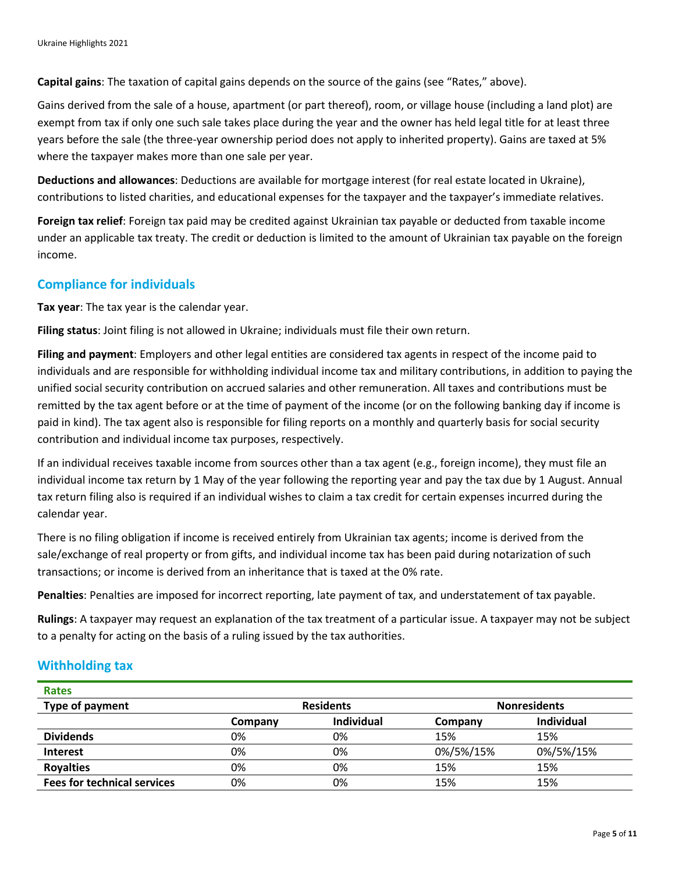**Capital gains**: The taxation of capital gains depends on the source of the gains (see "Rates," above).

Gains derived from the sale of a house, apartment (or part thereof), room, or village house (including a land plot) are exempt from tax if only one such sale takes place during the year and the owner has held legal title for at least three years before the sale (the three-year ownership period does not apply to inherited property). Gains are taxed at 5% where the taxpayer makes more than one sale per year.

**Deductions and allowances**: Deductions are available for mortgage interest (for real estate located in Ukraine), contributions to listed charities, and educational expenses for the taxpayer and the taxpayer's immediate relatives.

**Foreign tax relief**: Foreign tax paid may be credited against Ukrainian tax payable or deducted from taxable income under an applicable tax treaty. The credit or deduction is limited to the amount of Ukrainian tax payable on the foreign income.

# **Compliance for individuals**

**Tax year**: The tax year is the calendar year.

**Filing status**: Joint filing is not allowed in Ukraine; individuals must file their own return.

**Filing and payment**: Employers and other legal entities are considered tax agents in respect of the income paid to individuals and are responsible for withholding individual income tax and military contributions, in addition to paying the unified social security contribution on accrued salaries and other remuneration. All taxes and contributions must be remitted by the tax agent before or at the time of payment of the income (or on the following banking day if income is paid in kind). The tax agent also is responsible for filing reports on a monthly and quarterly basis for social security contribution and individual income tax purposes, respectively.

If an individual receives taxable income from sources other than a tax agent (e.g., foreign income), they must file an individual income tax return by 1 May of the year following the reporting year and pay the tax due by 1 August. Annual tax return filing also is required if an individual wishes to claim a tax credit for certain expenses incurred during the calendar year.

There is no filing obligation if income is received entirely from Ukrainian tax agents; income is derived from the sale/exchange of real property or from gifts, and individual income tax has been paid during notarization of such transactions; or income is derived from an inheritance that is taxed at the 0% rate.

**Penalties**: Penalties are imposed for incorrect reporting, late payment of tax, and understatement of tax payable.

**Rulings**: A taxpayer may request an explanation of the tax treatment of a particular issue. A taxpayer may not be subject to a penalty for acting on the basis of a ruling issued by the tax authorities.

#### **Withholding tax**

| <b>Rates</b>                       |                  |                   |                     |                   |
|------------------------------------|------------------|-------------------|---------------------|-------------------|
| Type of payment                    | <b>Residents</b> |                   | <b>Nonresidents</b> |                   |
|                                    | Company          | <b>Individual</b> | Company             | <b>Individual</b> |
| <b>Dividends</b>                   | 0%               | 0%                | 15%                 | 15%               |
| <b>Interest</b>                    | 0%               | 0%                | 0%/5%/15%           | 0%/5%/15%         |
| <b>Royalties</b>                   | 0%               | 0%                | 15%                 | 15%               |
| <b>Fees for technical services</b> | 0%               | 0%                | 15%                 | 15%               |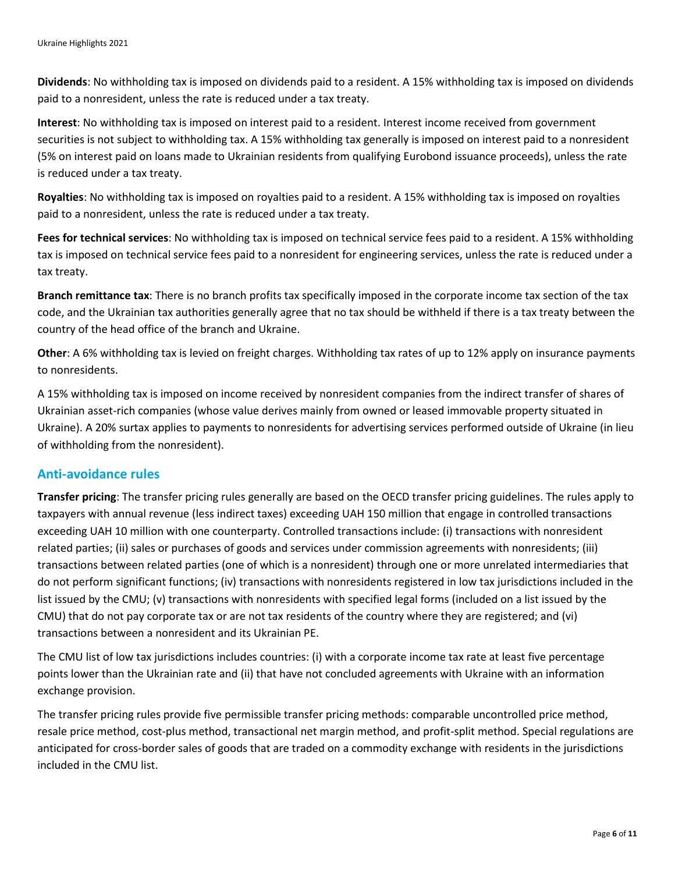**Dividends**: No withholding tax is imposed on dividends paid to a resident. A 15% withholding tax is imposed on dividends paid to a nonresident, unless the rate is reduced under a tax treaty.

**Interest**: No withholding tax is imposed on interest paid to a resident. Interest income received from government securities is not subject to withholding tax. A 15% withholding tax generally is imposed on interest paid to a nonresident (5% on interest paid on loans made to Ukrainian residents from qualifying Eurobond issuance proceeds), unless the rate is reduced under a tax treaty.

**Royalties**: No withholding tax is imposed on royalties paid to a resident. A 15% withholding tax is imposed on royalties paid to a nonresident, unless the rate is reduced under a tax treaty.

**Fees for technical services**: No withholding tax is imposed on technical service fees paid to a resident. A 15% withholding tax is imposed on technical service fees paid to a nonresident for engineering services, unless the rate is reduced under a tax treaty.

**Branch remittance tax**: There is no branch profits tax specifically imposed in the corporate income tax section of the tax code, and the Ukrainian tax authorities generally agree that no tax should be withheld if there is a tax treaty between the country of the head office of the branch and Ukraine.

**Other**: A 6% withholding tax is levied on freight charges. Withholding tax rates of up to 12% apply on insurance payments to nonresidents.

A 15% withholding tax is imposed on income received by nonresident companies from the indirect transfer of shares of Ukrainian asset-rich companies (whose value derives mainly from owned or leased immovable property situated in Ukraine). A 20% surtax applies to payments to nonresidents for advertising services performed outside of Ukraine (in lieu of withholding from the nonresident).

# **Anti-avoidance rules**

**Transfer pricing**: The transfer pricing rules generally are based on the OECD transfer pricing guidelines. The rules apply to taxpayers with annual revenue (less indirect taxes) exceeding UAH 150 million that engage in controlled transactions exceeding UAH 10 million with one counterparty. Controlled transactions include: (i) transactions with nonresident related parties; (ii) sales or purchases of goods and services under commission agreements with nonresidents; (iii) transactions between related parties (one of which is a nonresident) through one or more unrelated intermediaries that do not perform significant functions; (iv) transactions with nonresidents registered in low tax jurisdictions included in the list issued by the CMU; (v) transactions with nonresidents with specified legal forms (included on a list issued by the CMU) that do not pay corporate tax or are not tax residents of the country where they are registered; and (vi) transactions between a nonresident and its Ukrainian PE.

The CMU list of low tax jurisdictions includes countries: (i) with a corporate income tax rate at least five percentage points lower than the Ukrainian rate and (ii) that have not concluded agreements with Ukraine with an information exchange provision.

The transfer pricing rules provide five permissible transfer pricing methods: comparable uncontrolled price method, resale price method, cost-plus method, transactional net margin method, and profit-split method. Special regulations are anticipated for cross-border sales of goods that are traded on a commodity exchange with residents in the jurisdictions included in the CMU list.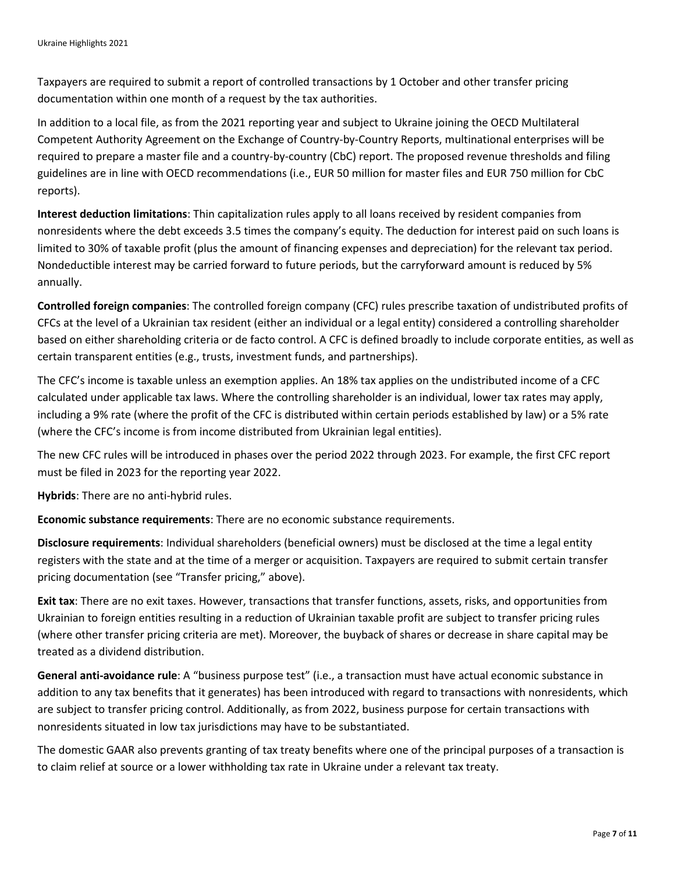Taxpayers are required to submit a report of controlled transactions by 1 October and other transfer pricing documentation within one month of a request by the tax authorities.

In addition to a local file, as from the 2021 reporting year and subject to Ukraine joining the OECD Multilateral Competent Authority Agreement on the Exchange of Country-by-Country Reports, multinational enterprises will be required to prepare a master file and a country-by-country (CbC) report. The proposed revenue thresholds and filing guidelines are in line with OECD recommendations (i.e., EUR 50 million for master files and EUR 750 million for CbC reports).

**Interest deduction limitations**: Thin capitalization rules apply to all loans received by resident companies from nonresidents where the debt exceeds 3.5 times the company's equity. The deduction for interest paid on such loans is limited to 30% of taxable profit (plus the amount of financing expenses and depreciation) for the relevant tax period. Nondeductible interest may be carried forward to future periods, but the carryforward amount is reduced by 5% annually.

**Controlled foreign companies**: The controlled foreign company (CFC) rules prescribe taxation of undistributed profits of CFCs at the level of a Ukrainian tax resident (either an individual or a legal entity) considered a controlling shareholder based on either shareholding criteria or de facto control. A CFC is defined broadly to include corporate entities, as well as certain transparent entities (e.g., trusts, investment funds, and partnerships).

The CFC's income is taxable unless an exemption applies. An 18% tax applies on the undistributed income of a CFC calculated under applicable tax laws. Where the controlling shareholder is an individual, lower tax rates may apply, including a 9% rate (where the profit of the CFC is distributed within certain periods established by law) or a 5% rate (where the CFC's income is from income distributed from Ukrainian legal entities).

The new CFC rules will be introduced in phases over the period 2022 through 2023. For example, the first CFC report must be filed in 2023 for the reporting year 2022.

**Hybrids**: There are no anti-hybrid rules.

**Economic substance requirements**: There are no economic substance requirements.

**Disclosure requirements**: Individual shareholders (beneficial owners) must be disclosed at the time a legal entity registers with the state and at the time of a merger or acquisition. Taxpayers are required to submit certain transfer pricing documentation (see "Transfer pricing," above).

**Exit tax**: There are no exit taxes. However, transactions that transfer functions, assets, risks, and opportunities from Ukrainian to foreign entities resulting in a reduction of Ukrainian taxable profit are subject to transfer pricing rules (where other transfer pricing criteria are met). Moreover, the buyback of shares or decrease in share capital may be treated as a dividend distribution.

**General anti-avoidance rule**: A "business purpose test" (i.e., a transaction must have actual economic substance in addition to any tax benefits that it generates) has been introduced with regard to transactions with nonresidents, which are subject to transfer pricing control. Additionally, as from 2022, business purpose for certain transactions with nonresidents situated in low tax jurisdictions may have to be substantiated.

The domestic GAAR also prevents granting of tax treaty benefits where one of the principal purposes of a transaction is to claim relief at source or a lower withholding tax rate in Ukraine under a relevant tax treaty.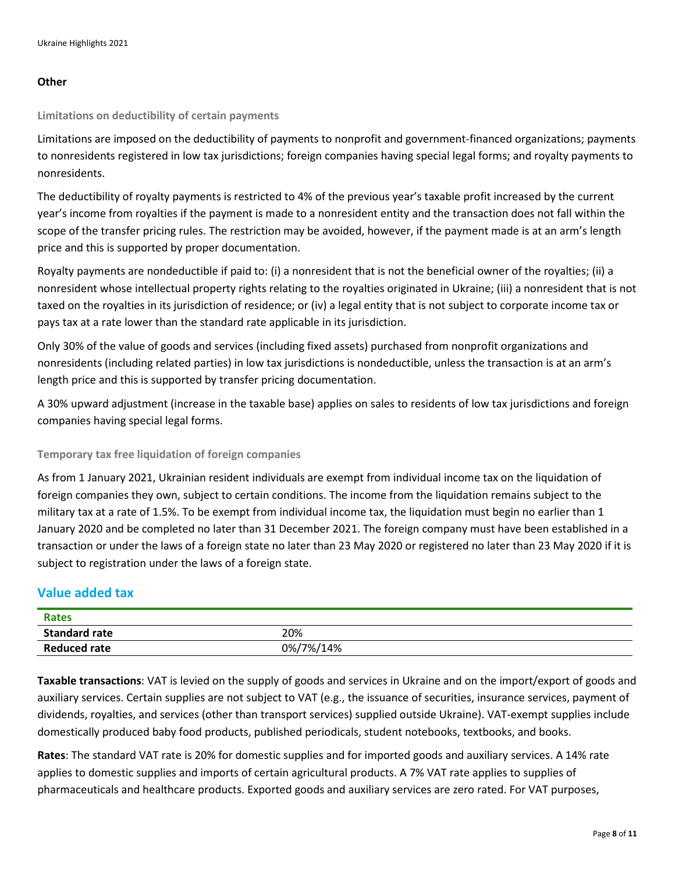#### **Other**

#### **Limitations on deductibility of certain payments**

Limitations are imposed on the deductibility of payments to nonprofit and government-financed organizations; payments to nonresidents registered in low tax jurisdictions; foreign companies having special legal forms; and royalty payments to nonresidents.

The deductibility of royalty payments is restricted to 4% of the previous year's taxable profit increased by the current year's income from royalties if the payment is made to a nonresident entity and the transaction does not fall within the scope of the transfer pricing rules. The restriction may be avoided, however, if the payment made is at an arm's length price and this is supported by proper documentation.

Royalty payments are nondeductible if paid to: (i) a nonresident that is not the beneficial owner of the royalties; (ii) a nonresident whose intellectual property rights relating to the royalties originated in Ukraine; (iii) a nonresident that is not taxed on the royalties in its jurisdiction of residence; or (iv) a legal entity that is not subject to corporate income tax or pays tax at a rate lower than the standard rate applicable in its jurisdiction.

Only 30% of the value of goods and services (including fixed assets) purchased from nonprofit organizations and nonresidents (including related parties) in low tax jurisdictions is nondeductible, unless the transaction is at an arm's length price and this is supported by transfer pricing documentation.

A 30% upward adjustment (increase in the taxable base) applies on sales to residents of low tax jurisdictions and foreign companies having special legal forms.

#### **Temporary tax free liquidation of foreign companies**

As from 1 January 2021, Ukrainian resident individuals are exempt from individual income tax on the liquidation of foreign companies they own, subject to certain conditions. The income from the liquidation remains subject to the military tax at a rate of 1.5%. To be exempt from individual income tax, the liquidation must begin no earlier than 1 January 2020 and be completed no later than 31 December 2021. The foreign company must have been established in a transaction or under the laws of a foreign state no later than 23 May 2020 or registered no later than 23 May 2020 if it is subject to registration under the laws of a foreign state.

#### **Value added tax**

| <b>Rates</b>         |           |
|----------------------|-----------|
| <b>Standard rate</b> | 20%       |
| <b>Reduced rate</b>  | 0%/7%/14% |

**Taxable transactions**: VAT is levied on the supply of goods and services in Ukraine and on the import/export of goods and auxiliary services. Certain supplies are not subject to VAT (e.g., the issuance of securities, insurance services, payment of dividends, royalties, and services (other than transport services) supplied outside Ukraine). VAT-exempt supplies include domestically produced baby food products, published periodicals, student notebooks, textbooks, and books.

**Rates**: The standard VAT rate is 20% for domestic supplies and for imported goods and auxiliary services. A 14% rate applies to domestic supplies and imports of certain agricultural products. A 7% VAT rate applies to supplies of pharmaceuticals and healthcare products. Exported goods and auxiliary services are zero rated. For VAT purposes,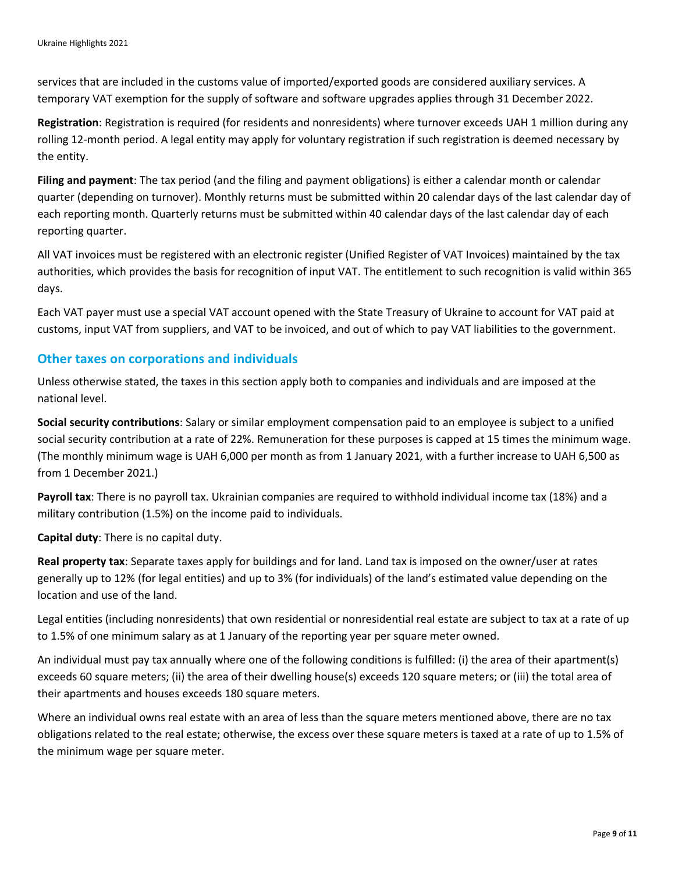services that are included in the customs value of imported/exported goods are considered auxiliary services. A temporary VAT exemption for the supply of software and software upgrades applies through 31 December 2022.

**Registration**: Registration is required (for residents and nonresidents) where turnover exceeds UAH 1 million during any rolling 12-month period. A legal entity may apply for voluntary registration if such registration is deemed necessary by the entity.

**Filing and payment**: The tax period (and the filing and payment obligations) is either a calendar month or calendar quarter (depending on turnover). Monthly returns must be submitted within 20 calendar days of the last calendar day of each reporting month. Quarterly returns must be submitted within 40 calendar days of the last calendar day of each reporting quarter.

All VAT invoices must be registered with an electronic register (Unified Register of VAT Invoices) maintained by the tax authorities, which provides the basis for recognition of input VAT. The entitlement to such recognition is valid within 365 days.

Each VAT payer must use a special VAT account opened with the State Treasury of Ukraine to account for VAT paid at customs, input VAT from suppliers, and VAT to be invoiced, and out of which to pay VAT liabilities to the government.

## **Other taxes on corporations and individuals**

Unless otherwise stated, the taxes in this section apply both to companies and individuals and are imposed at the national level.

**Social security contributions**: Salary or similar employment compensation paid to an employee is subject to a unified social security contribution at a rate of 22%. Remuneration for these purposes is capped at 15 times the minimum wage. (The monthly minimum wage is UAH 6,000 per month as from 1 January 2021, with a further increase to UAH 6,500 as from 1 December 2021.)

**Payroll tax**: There is no payroll tax. Ukrainian companies are required to withhold individual income tax (18%) and a military contribution (1.5%) on the income paid to individuals.

**Capital duty**: There is no capital duty.

**Real property tax**: Separate taxes apply for buildings and for land. Land tax is imposed on the owner/user at rates generally up to 12% (for legal entities) and up to 3% (for individuals) of the land's estimated value depending on the location and use of the land.

Legal entities (including nonresidents) that own residential or nonresidential real estate are subject to tax at a rate of up to 1.5% of one minimum salary as at 1 January of the reporting year per square meter owned.

An individual must pay tax annually where one of the following conditions is fulfilled: (i) the area of their apartment(s) exceeds 60 square meters; (ii) the area of their dwelling house(s) exceeds 120 square meters; or (iii) the total area of their apartments and houses exceeds 180 square meters.

Where an individual owns real estate with an area of less than the square meters mentioned above, there are no tax obligations related to the real estate; otherwise, the excess over these square meters is taxed at a rate of up to 1.5% of the minimum wage per square meter.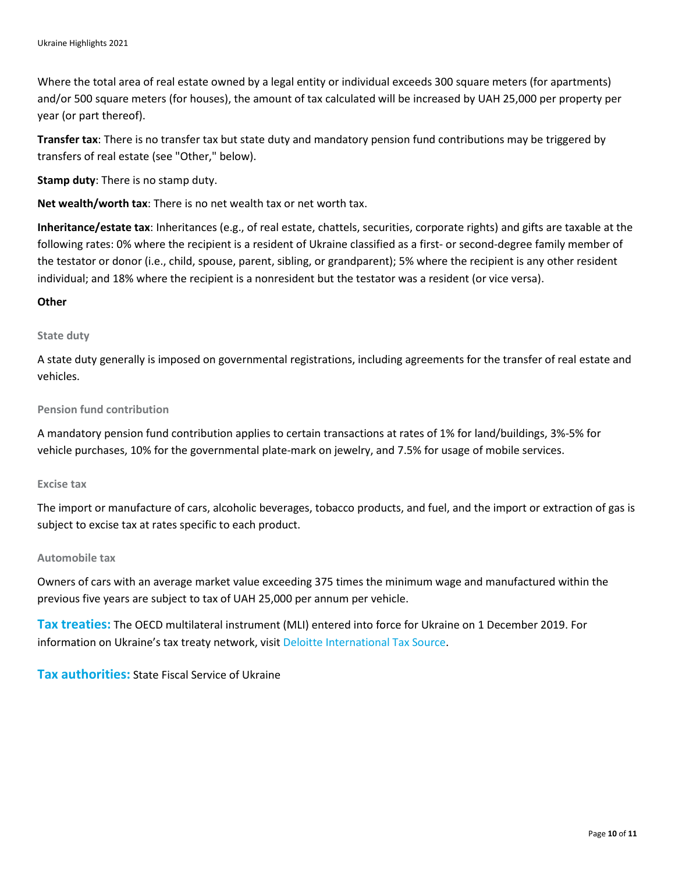Where the total area of real estate owned by a legal entity or individual exceeds 300 square meters (for apartments) and/or 500 square meters (for houses), the amount of tax calculated will be increased by UAH 25,000 per property per year (or part thereof).

**Transfer tax**: There is no transfer tax but state duty and mandatory pension fund contributions may be triggered by transfers of real estate (see "Other," below).

**Stamp duty**: There is no stamp duty.

**Net wealth/worth tax**: There is no net wealth tax or net worth tax.

**Inheritance/estate tax**: Inheritances (e.g., of real estate, chattels, securities, corporate rights) and gifts are taxable at the following rates: 0% where the recipient is a resident of Ukraine classified as a first- or second-degree family member of the testator or donor (i.e., child, spouse, parent, sibling, or grandparent); 5% where the recipient is any other resident individual; and 18% where the recipient is a nonresident but the testator was a resident (or vice versa).

#### **Other**

#### **State duty**

A state duty generally is imposed on governmental registrations, including agreements for the transfer of real estate and vehicles.

#### **Pension fund contribution**

A mandatory pension fund contribution applies to certain transactions at rates of 1% for land/buildings, 3%-5% for vehicle purchases, 10% for the governmental plate-mark on jewelry, and 7.5% for usage of mobile services.

#### **Excise tax**

The import or manufacture of cars, alcoholic beverages, tobacco products, and fuel, and the import or extraction of gas is subject to excise tax at rates specific to each product.

#### **Automobile tax**

Owners of cars with an average market value exceeding 375 times the minimum wage and manufactured within the previous five years are subject to tax of UAH 25,000 per annum per vehicle.

**Tax treaties:** The OECD multilateral instrument (MLI) entered into force for Ukraine on 1 December 2019. For information on Ukraine's tax treaty network, visit [Deloitte International Tax Source.](https://dits.deloitte.com/#Jurisdiction/50)

**Tax authorities:** State Fiscal Service of Ukraine